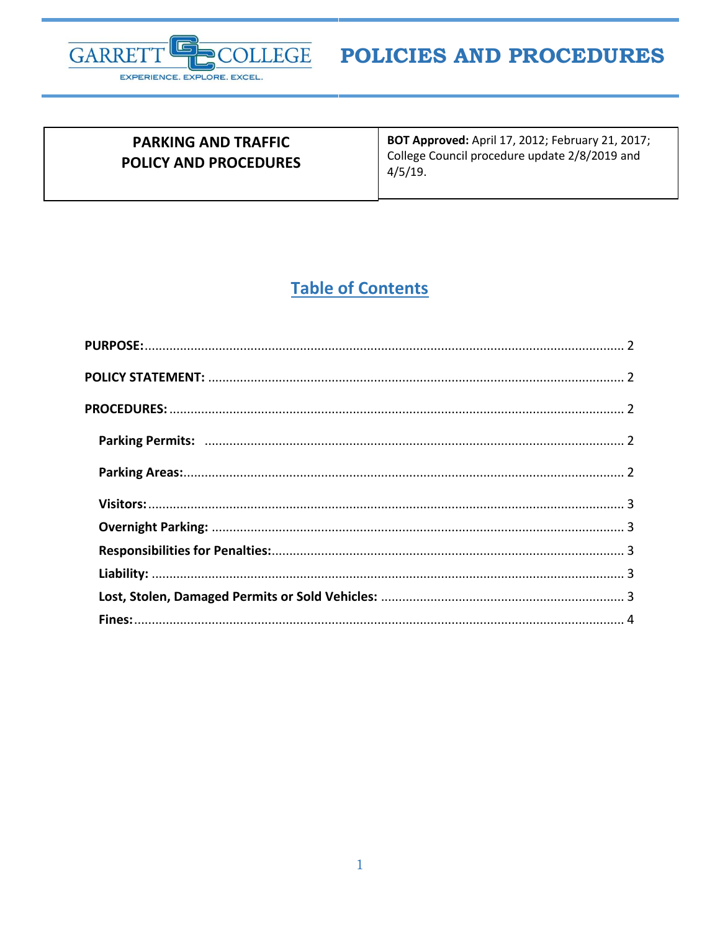

| <b>PARKING AND TRAFFIC</b><br><b>POLICY AND PROCEDURES</b> | <b>BOT Approved: April 17, 2012; February 21, 2017;</b><br>College Council procedure update 2/8/2019 and<br>4/5/19. |
|------------------------------------------------------------|---------------------------------------------------------------------------------------------------------------------|
|                                                            |                                                                                                                     |

## **Table of Contents**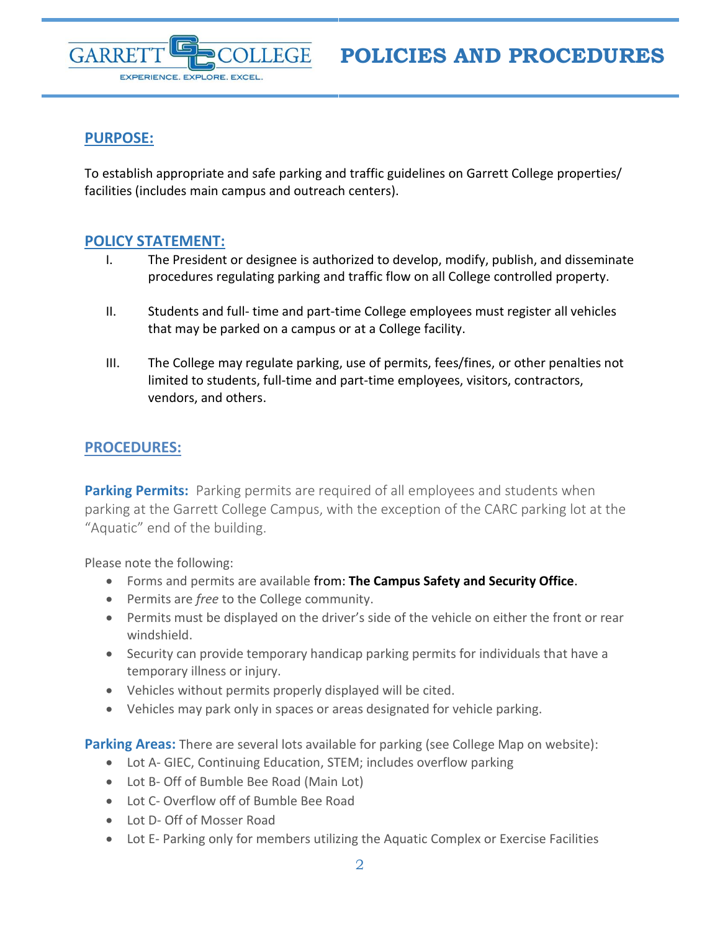



## <span id="page-1-0"></span>**PURPOSE:**

To establish appropriate and safe parking and traffic guidelines on Garrett College properties/ facilities (includes main campus and outreach centers).

## <span id="page-1-1"></span>**POLICY STATEMENT:**

- I. The President or designee is authorized to develop, modify, publish, and disseminate procedures regulating parking and traffic flow on all College controlled property.
- II. Students and full- time and part-time College employees must register all vehicles that may be parked on a campus or at a College facility.
- III. The College may regulate parking, use of permits, fees/fines, or other penalties not limited to students, full-time and part-time employees, visitors, contractors, vendors, and others.

## <span id="page-1-2"></span>**PROCEDURES:**

<span id="page-1-3"></span>**Parking Permits:** Parking permits are required of all employees and students when parking at the Garrett College Campus, with the exception of the CARC parking lot at the "Aquatic" end of the building.

Please note the following:

- Forms and permits are available from: **The Campus Safety and Security Office**.
- Permits are *free* to the College community.
- Permits must be displayed on the driver's side of the vehicle on either the front or rear windshield.
- Security can provide temporary handicap parking permits for individuals that have a temporary illness or injury.
- Vehicles without permits properly displayed will be cited.
- Vehicles may park only in spaces or areas designated for vehicle parking.

<span id="page-1-4"></span>**Parking Areas:** There are several lots available for parking (see College Map on website):

- Lot A- GIEC, Continuing Education, STEM; includes overflow parking
- Lot B- Off of Bumble Bee Road (Main Lot)
- Lot C- Overflow off of Bumble Bee Road
- Lot D- Off of Mosser Road
- Lot E- Parking only for members utilizing the Aquatic Complex or Exercise Facilities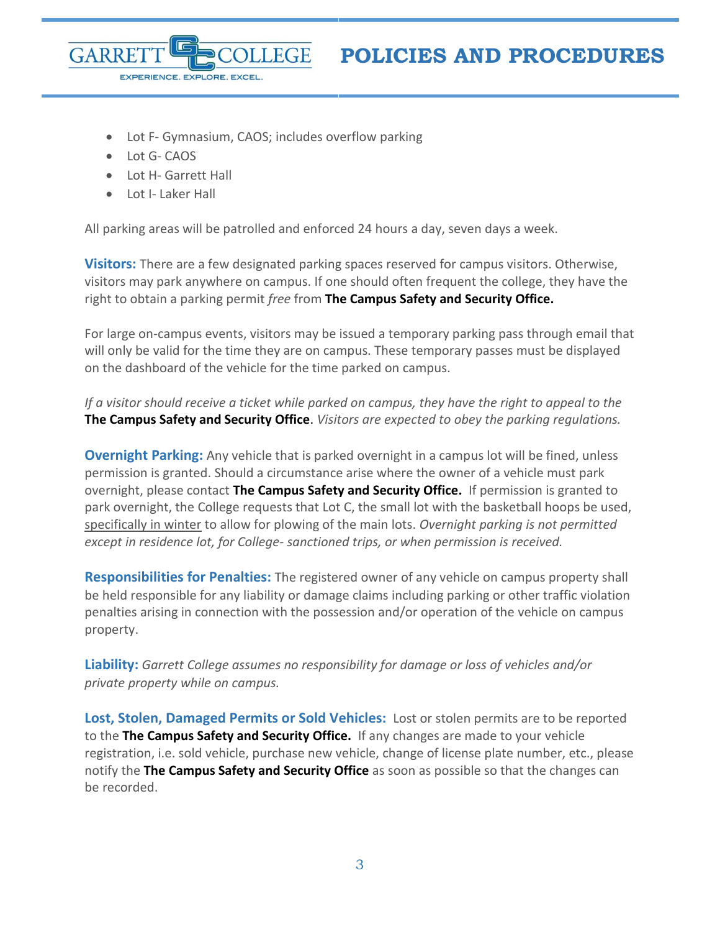

- Lot F- Gymnasium, CAOS; includes overflow parking
- Lot G- CAOS

GARRF

Lot H- Garrett Hall

EXPERIENCE. EXPLORE. EXCEL

Lot I- Laker Hall

All parking areas will be patrolled and enforced 24 hours a day, seven days a week.

<span id="page-2-0"></span>**Visitors:** There are a few designated parking spaces reserved for campus visitors. Otherwise, visitors may park anywhere on campus. If one should often frequent the college, they have the right to obtain a parking permit *free* from **The Campus Safety and Security Office.**

For large on-campus events, visitors may be issued a temporary parking pass through email that will only be valid for the time they are on campus. These temporary passes must be displayed on the dashboard of the vehicle for the time parked on campus.

*If a visitor should receive a ticket while parked on campus, they have the right to appeal to the* **The Campus Safety and Security Office**. *Visitors are expected to obey the parking regulations.* 

<span id="page-2-1"></span>**Overnight Parking:** Any vehicle that is parked overnight in a campus lot will be fined, unless permission is granted. Should a circumstance arise where the owner of a vehicle must park overnight, please contact **The Campus Safety and Security Office.** If permission is granted to park overnight, the College requests that Lot C, the small lot with the basketball hoops be used, specifically in winter to allow for plowing of the main lots. *Overnight parking is not permitted except in residence lot, for College- sanctioned trips, or when permission is received.* 

<span id="page-2-2"></span>**Responsibilities for Penalties:** The registered owner of any vehicle on campus property shall be held responsible for any liability or damage claims including parking or other traffic violation penalties arising in connection with the possession and/or operation of the vehicle on campus property.

<span id="page-2-3"></span>**Liability:** *Garrett College assumes no responsibility for damage or loss of vehicles and/or private property while on campus.* 

<span id="page-2-4"></span>**Lost, Stolen, Damaged Permits or Sold Vehicles:** Lost or stolen permits are to be reported to the **The Campus Safety and Security Office.** If any changes are made to your vehicle registration, i.e. sold vehicle, purchase new vehicle, change of license plate number, etc., please notify the **The Campus Safety and Security Office** as soon as possible so that the changes can be recorded.